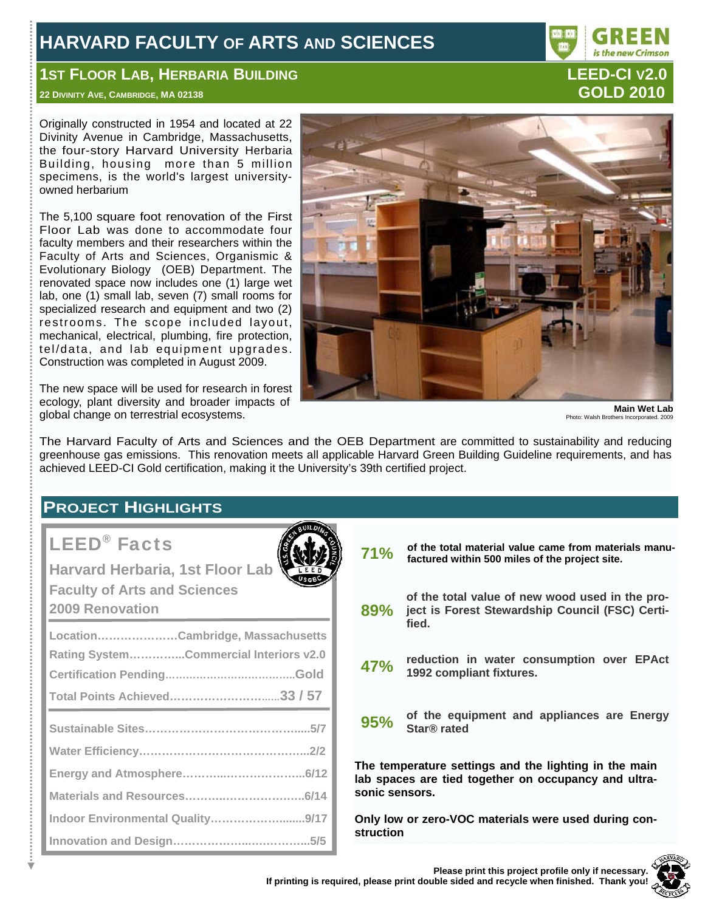# **HARVARD FACULTY OF ARTS AND SCIENCES**

# **1ST FLOOR LAB, HERBARIA BUILDING CONTRACT CONTRACT CONTRACT LEED-CI V2.0**

# **22 DIVINITY AVE, CAMBRIDGE, MA 02138 GOLD 2010**

Originally constructed in 1954 and located at 22 Divinity Avenue in Cambridge, Massachusetts, the four-story Harvard University Herbaria Building, housing more than 5 million specimens, is the world's largest universityowned herbarium

The 5,100 square foot renovation of the First Floor Lab was done to accommodate four faculty members and their researchers within the Faculty of Arts and Sciences, Organismic & Evolutionary Biology (OEB) Department. The renovated space now includes one (1) large wet lab, one (1) small lab, seven (7) small rooms for specialized research and equipment and two (2) restrooms. The scope included layout, mechanical, electrical, plumbing, fire protection, tel/data, and lab equipment upgrades. Construction was completed in August 2009.

The new space will be used for research in forest ecology, plant diversity and broader impacts of global change on terrestrial ecosystems.

**Main Wet Lab**  Photo: Walsh Brothers Incorpor

The Harvard Faculty of Arts and Sciences and the OEB Department are committed to sustainability and reducing greenhouse gas emissions. This renovation meets all applicable Harvard Green Building Guideline requirements, and has achieved LEED-CI Gold certification, making it the University's 39th certified project.

# **PROJECT HIGHLIGHTS**

# LEED® Facts

| Harvard Herbaria, 1st Floor Lab<br><b>Faculty of Arts and Sciences</b><br><b>2009 Renovation</b>           |
|------------------------------------------------------------------------------------------------------------|
| LocationCambridge, Massachusetts<br>Rating SystemCommercial Interiors v2.0<br>Total Points Achieved33 / 57 |
|                                                                                                            |

**Indoor Environmental Quality………………........9/17 Innovation and Design………………...….………...5/5**



**71%** of the total material value came from materials manu-<br>**71%** factured within 500 miles of the project site **factured within 500 miles of the project site.** 

**89% of the total value of new wood used in the project is Forest Stewardship Council (FSC) Certified.**

**47% reduction in water consumption over EPAct 1992 compliant fixtures.**

**95% of the equipment and appliances are Energy Star® rated** 

**The temperature settings and the lighting in the main lab spaces are tied together on occupancy and ultrasonic sensors.** 

**Only low or zero-VOC materials were used during construction**

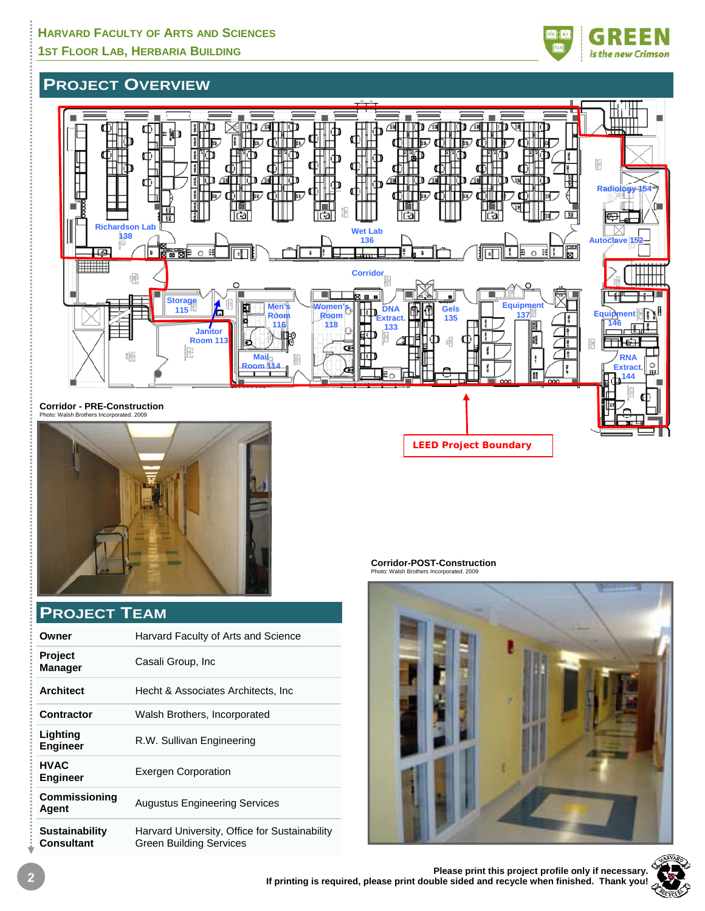# is the new Crimson

# **PROJECT OVERVIEW**





# **PROJECT TEAM**

| Owner                                      | Harvard Faculty of Arts and Science                                             |
|--------------------------------------------|---------------------------------------------------------------------------------|
| <b>Project</b><br><b>Manager</b>           | Casali Group, Inc.                                                              |
| <b>Architect</b>                           | Hecht & Associates Architects, Inc.                                             |
| Contractor                                 | Walsh Brothers, Incorporated                                                    |
| Lighting<br><b>Engineer</b>                | R.W. Sullivan Engineering                                                       |
| <b>HVAC</b><br><b>Engineer</b>             | <b>Exergen Corporation</b>                                                      |
| <b>Commissioning</b><br>Agent              | <b>Augustus Engineering Services</b>                                            |
| <b>Sustainability</b><br><b>Consultant</b> | Harvard University, Office for Sustainability<br><b>Green Building Services</b> |

**Corridor-POST-Construction** 

**LEED Project Boundary** 





Ý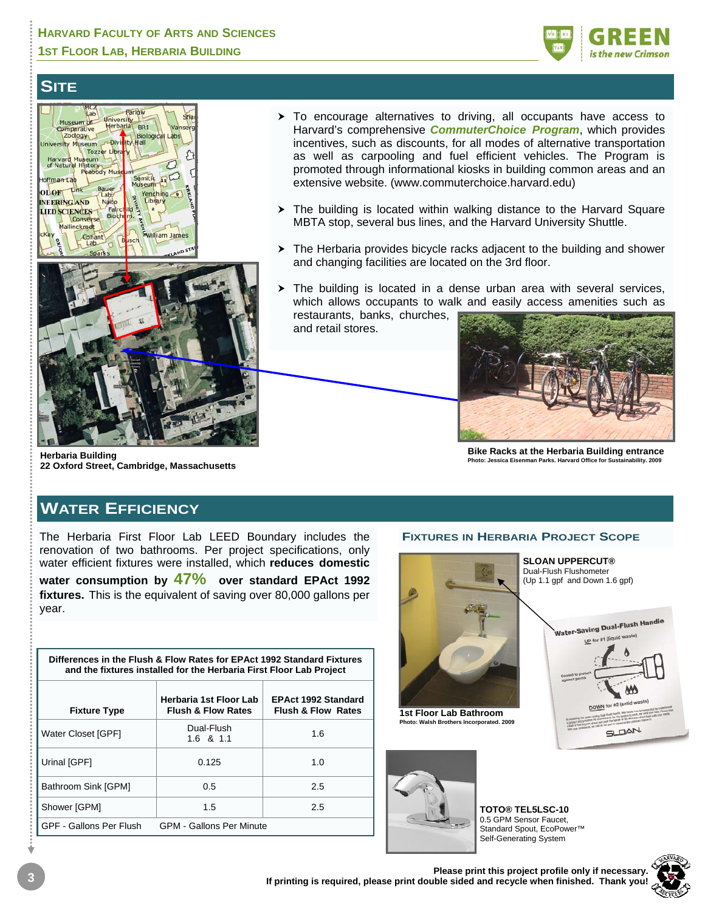

# **SITE**



- $\triangleright$  To encourage alternatives to driving, all occupants have access to Harvard's comprehensive *CommuterChoice Program*, which provides incentives, such as discounts, for all modes of alternative transportation as well as carpooling and fuel efficient vehicles. The Program is promoted through informational kiosks in building common areas and an extensive website. (www.commuterchoice.harvard.edu)
- $\triangleright$  The building is located within walking distance to the Harvard Square MBTA stop, several bus lines, and the Harvard University Shuttle.
- $\triangleright$  The Herbaria provides bicycle racks adjacent to the building and shower and changing facilities are located on the 3rd floor.
- $\triangleright$  The building is located in a dense urban area with several services, which allows occupants to walk and easily access amenities such as restaurants, banks, churches,

and retail stores.



**Bike Racks at the Herbaria Building entrance Photo: Jessica Eisenman Parks. Harvard Office for Sustainability.** 

#### **Herbaria Building 22 Oxford Street, Cambridge, Massachusetts**

# **WATER EFFICIENCY**

The Herbaria First Floor Lab LEED Boundary includes the renovation of two bathrooms. Per project specifications, only water efficient fixtures were installed, which **reduces domestic water consumption by 47% over standard EPAct 1992 fixtures.** This is the equivalent of saving over 80,000 gallons per year.

| Differences in the Flush & Flow Rates for EPAct 1992 Standard Fixtures<br>and the fixtures installed for the Herbaria First Floor Lab Project |                                                         |                                                             |  |  |  |  |
|-----------------------------------------------------------------------------------------------------------------------------------------------|---------------------------------------------------------|-------------------------------------------------------------|--|--|--|--|
| <b>Fixture Type</b>                                                                                                                           | Herbaria 1st Floor Lab<br><b>Flush &amp; Flow Rates</b> | <b>EPAct 1992 Standard</b><br><b>Flush &amp; Flow Rates</b> |  |  |  |  |
| Water Closet [GPF]                                                                                                                            | Dual-Flush<br>1.6 & 1.1                                 | 1.6                                                         |  |  |  |  |
| Urinal [GPF]                                                                                                                                  | 0.125                                                   | 1.0                                                         |  |  |  |  |
| Bathroom Sink [GPM]                                                                                                                           | 0.5                                                     | 2.5                                                         |  |  |  |  |
| Shower [GPM]                                                                                                                                  | 1.5                                                     | 2.5                                                         |  |  |  |  |
| GPF - Gallons Per Flush                                                                                                                       | <b>GPM - Gallons Per Minute</b>                         |                                                             |  |  |  |  |

**FIXTURES IN HERBARIA PROJECT SCOPE**



Water-Saving Dual-Flush Handle UP for #1 **SLOAN** 



**TOTO® TEL5LSC-10**  0.5 GPM Sensor Faucet, Standard Spout, EcoPower™ Self-Generating System

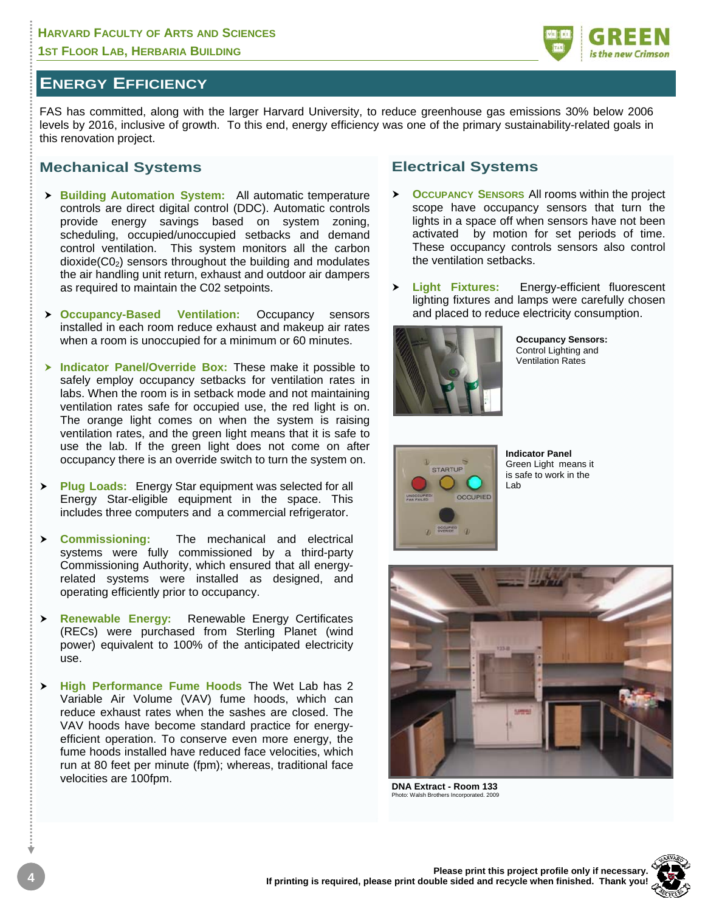# **ENERGY EFFICIENCY**

FAS has committed, along with the larger Harvard University, to reduce greenhouse gas emissions 30% below 2006 levels by 2016, inclusive of growth. To this end, energy efficiency was one of the primary sustainability-related goals in this renovation project.

#### **Mechanical Systems**

- **h Building Automation System:** All automatic temperature controls are direct digital control (DDC). Automatic controls provide energy savings based on system zoning, scheduling, occupied/unoccupied setbacks and demand control ventilation. This system monitors all the carbon  $dioxide(CO<sub>2</sub>)$  sensors throughout the building and modulates the air handling unit return, exhaust and outdoor air dampers as required to maintain the C02 setpoints.
- h **Occupancy-Based Ventilation:** Occupancy sensors installed in each room reduce exhaust and makeup air rates when a room is unoccupied for a minimum or 60 minutes.
- > Indicator Panel/Override Box: These make it possible to safely employ occupancy setbacks for ventilation rates in labs. When the room is in setback mode and not maintaining ventilation rates safe for occupied use, the red light is on. The orange light comes on when the system is raising ventilation rates, and the green light means that it is safe to use the lab. If the green light does not come on after occupancy there is an override switch to turn the system on.
- **> Plug Loads:** Energy Star equipment was selected for all Energy Star-eligible equipment in the space. This includes three computers and a commercial refrigerator.
- h **Commissioning:** The mechanical and electrical systems were fully commissioned by a third-party Commissioning Authority, which ensured that all energyrelated systems were installed as designed, and operating efficiently prior to occupancy.
- h **Renewable Energy:** Renewable Energy Certificates (RECs) were purchased from Sterling Planet (wind power) equivalent to 100% of the anticipated electricity use.
- **h** High Performance Fume Hoods The Wet Lab has 2 Variable Air Volume (VAV) fume hoods, which can reduce exhaust rates when the sashes are closed. The VAV hoods have become standard practice for energyefficient operation. To conserve even more energy, the fume hoods installed have reduced face velocities, which run at 80 feet per minute (fpm); whereas, traditional face velocities are 100fpm.

#### **Electrical Systems**

- **OCCUPANCY SENSORS** All rooms within the project scope have occupancy sensors that turn the lights in a space off when sensors have not been activated by motion for set periods of time. These occupancy controls sensors also control the ventilation setbacks.
- h **Light Fixtures:** Energy-efficient fluorescent lighting fixtures and lamps were carefully chosen and placed to reduce electricity consumption.



**Occupancy Sensors:**  Control Lighting and Ventilation Rates



**Indicator Panel**  Green Light means it is safe to work in the Lab



**DNA Extract - Room 133**  Photo: Walsh Brothers Incorporated. 2009



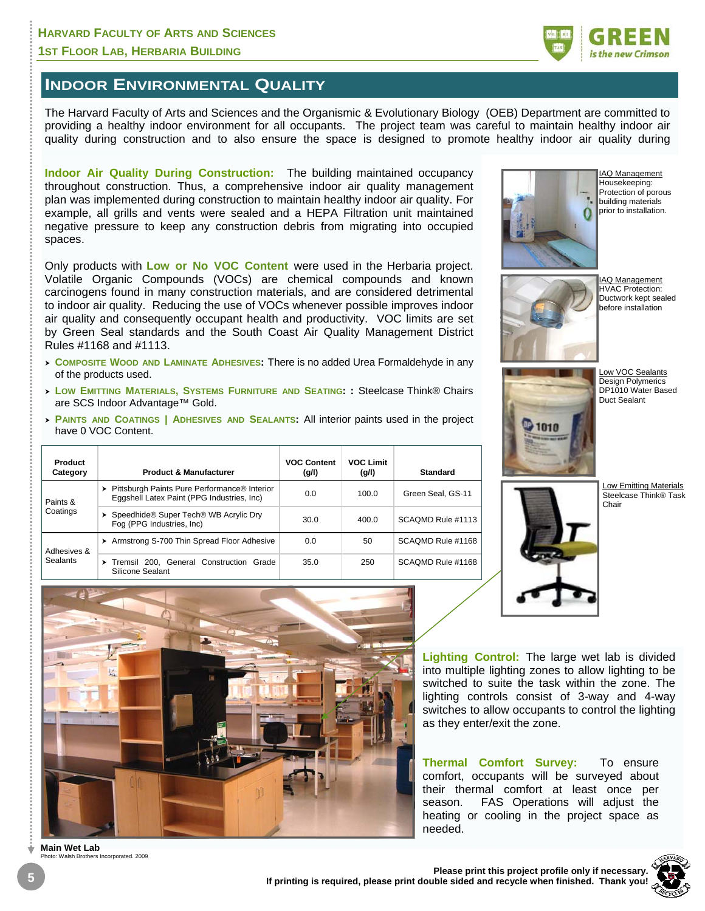

### **INDOOR ENVIRONMENTAL QUALITY**

The Harvard Faculty of Arts and Sciences and the Organismic & Evolutionary Biology (OEB) Department are committed to providing a healthy indoor environment for all occupants. The project team was careful to maintain healthy indoor air quality during construction and to also ensure the space is designed to promote healthy indoor air quality during

**Indoor Air Quality During Construction:** The building maintained occupancy throughout construction. Thus, a comprehensive indoor air quality management plan was implemented during construction to maintain healthy indoor air quality. For example, all grills and vents were sealed and a HEPA Filtration unit maintained negative pressure to keep any construction debris from migrating into occupied spaces.

Only products with **Low or No VOC Content** were used in the Herbaria project. Volatile Organic Compounds (VOCs) are chemical compounds and known carcinogens found in many construction materials, and are considered detrimental to indoor air quality. Reducing the use of VOCs whenever possible improves indoor air quality and consequently occupant health and productivity. VOC limits are set by Green Seal standards and the South Coast Air Quality Management District Rules #1168 and #1113.

- <sup>h</sup>**COMPOSITE WOOD AND LAMINATE ADHESIVES:** There is no added Urea Formaldehyde in any of the products used.
- <sup>h</sup>**LOW EMITTING MATERIALS, SYSTEMS FURNITURE AND SEATING: :** Steelcase Think® Chairs are SCS Indoor Advantage™ Gold.
- **PAINTS AND COATINGS | ADHESIVES AND SEALANTS: All interior paints used in the project** have 0 VOC Content.

| Product<br>Category     | <b>Product &amp; Manufacturer</b>                                                                        | <b>VOC Content</b><br>(g/l) | <b>VOC Limit</b><br>(g/l) | <b>Standard</b>   |
|-------------------------|----------------------------------------------------------------------------------------------------------|-----------------------------|---------------------------|-------------------|
| Paints &<br>Coatings    | > Pittsburgh Paints Pure Performance <sup>®</sup> Interior<br>Eggshell Latex Paint (PPG Industries, Inc) | 0.0                         | 100.0                     | Green Seal. GS-11 |
|                         | Speedhide <sup>®</sup> Super Tech <sup>®</sup> WB Acrylic Dry<br>Fog (PPG Industries, Inc)               | 30.0                        | 400.0                     | SCAOMD Rule #1113 |
| Adhesives &<br>Sealants | > Armstrong S-700 Thin Spread Floor Adhesive                                                             | 0.0                         | 50                        | SCAOMD Rule #1168 |
|                         | Tremsil 200. General Construction Grade<br>Silicone Sealant                                              | 35.0                        | 250                       | SCAOMD Rule #1168 |



IAQ Management Housekeeping: Protection of porous building materials prior to installation.



IAQ Management HVAC Protection: Ductwork kept sealed before installation



Low VOC Sealants Design Polymerics DP1010 Water Based Duct Sealant





**Lighting Control:** The large wet lab is divided into multiple lighting zones to allow lighting to be switched to suite the task within the zone. The lighting controls consist of 3-way and 4-way switches to allow occupants to control the lighting as they enter/exit the zone.

**Thermal Comfort Survey:** To ensure comfort, occupants will be surveyed about their thermal comfort at least once per season. FAS Operations will adjust the heating or cooling in the project space as needed.



**Main Wet Lab**  s Incorporated. 2009